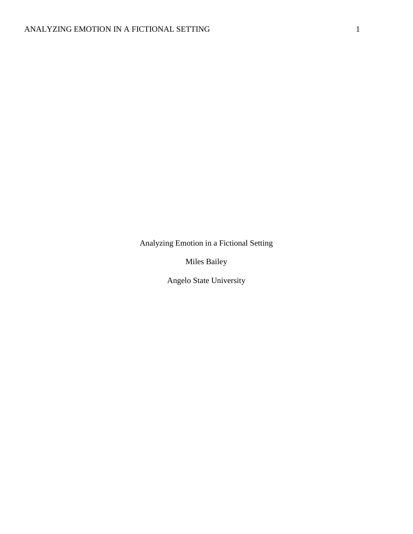Analyzing Emotion in a Fictional Setting

Miles Bailey

Angelo State University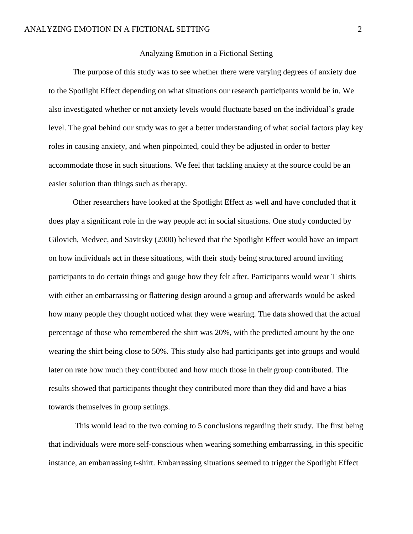## Analyzing Emotion in a Fictional Setting

The purpose of this study was to see whether there were varying degrees of anxiety due to the Spotlight Effect depending on what situations our research participants would be in. We also investigated whether or not anxiety levels would fluctuate based on the individual's grade level. The goal behind our study was to get a better understanding of what social factors play key roles in causing anxiety, and when pinpointed, could they be adjusted in order to better accommodate those in such situations. We feel that tackling anxiety at the source could be an easier solution than things such as therapy.

Other researchers have looked at the Spotlight Effect as well and have concluded that it does play a significant role in the way people act in social situations. One study conducted by Gilovich, Medvec, and Savitsky (2000) believed that the Spotlight Effect would have an impact on how individuals act in these situations, with their study being structured around inviting participants to do certain things and gauge how they felt after. Participants would wear T shirts with either an embarrassing or flattering design around a group and afterwards would be asked how many people they thought noticed what they were wearing. The data showed that the actual percentage of those who remembered the shirt was 20%, with the predicted amount by the one wearing the shirt being close to 50%. This study also had participants get into groups and would later on rate how much they contributed and how much those in their group contributed. The results showed that participants thought they contributed more than they did and have a bias towards themselves in group settings.

This would lead to the two coming to 5 conclusions regarding their study. The first being that individuals were more self-conscious when wearing something embarrassing, in this specific instance, an embarrassing t-shirt. Embarrassing situations seemed to trigger the Spotlight Effect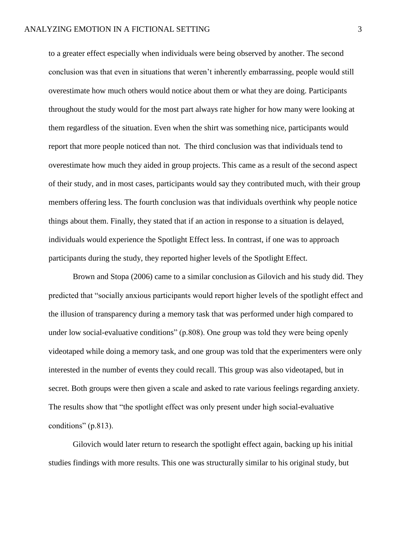to a greater effect especially when individuals were being observed by another. The second conclusion was that even in situations that weren't inherently embarrassing, people would still overestimate how much others would notice about them or what they are doing. Participants throughout the study would for the most part always rate higher for how many were looking at them regardless of the situation. Even when the shirt was something nice, participants would report that more people noticed than not. The third conclusion was that individuals tend to overestimate how much they aided in group projects. This came as a result of the second aspect of their study, and in most cases, participants would say they contributed much, with their group members offering less. The fourth conclusion was that individuals overthink why people notice things about them. Finally, they stated that if an action in response to a situation is delayed, individuals would experience the Spotlight Effect less. In contrast, if one was to approach participants during the study, they reported higher levels of the Spotlight Effect.

Brown and Stopa (2006) came to a similar conclusion as Gilovich and his study did. They predicted that "socially anxious participants would report higher levels of the spotlight effect and the illusion of transparency during a memory task that was performed under high compared to under low social-evaluative conditions" (p.808). One group was told they were being openly videotaped while doing a memory task, and one group was told that the experimenters were only interested in the number of events they could recall. This group was also videotaped, but in secret. Both groups were then given a scale and asked to rate various feelings regarding anxiety. The results show that "the spotlight effect was only present under high social-evaluative conditions" (p.813).

Gilovich would later return to research the spotlight effect again, backing up his initial studies findings with more results. This one was structurally similar to his original study, but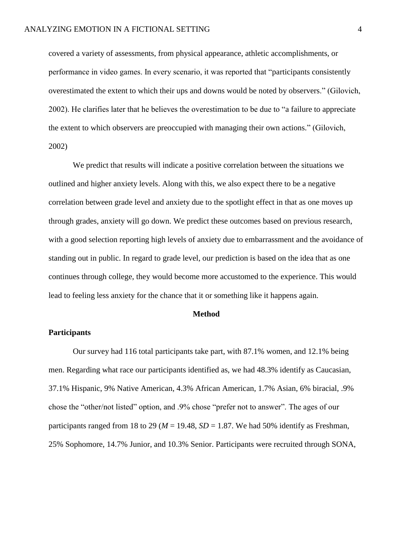covered a variety of assessments, from physical appearance, athletic accomplishments, or performance in video games. In every scenario, it was reported that "participants consistently overestimated the extent to which their ups and downs would be noted by observers." (Gilovich, 2002). He clarifies later that he believes the overestimation to be due to "a failure to appreciate the extent to which observers are preoccupied with managing their own actions." (Gilovich, 2002)

We predict that results will indicate a positive correlation between the situations we outlined and higher anxiety levels. Along with this, we also expect there to be a negative correlation between grade level and anxiety due to the spotlight effect in that as one moves up through grades, anxiety will go down. We predict these outcomes based on previous research, with a good selection reporting high levels of anxiety due to embarrassment and the avoidance of standing out in public. In regard to grade level, our prediction is based on the idea that as one continues through college, they would become more accustomed to the experience. This would lead to feeling less anxiety for the chance that it or something like it happens again.

#### **Method**

#### **Participants**

Our survey had 116 total participants take part, with 87.1% women, and 12.1% being men. Regarding what race our participants identified as, we had 48.3% identify as Caucasian, 37.1% Hispanic, 9% Native American, 4.3% African American, 1.7% Asian, 6% biracial, .9% chose the "other/not listed" option, and .9% chose "prefer not to answer". The ages of our participants ranged from 18 to 29 ( $M = 19.48$ ,  $SD = 1.87$ . We had 50% identify as Freshman, 25% Sophomore, 14.7% Junior, and 10.3% Senior. Participants were recruited through SONA,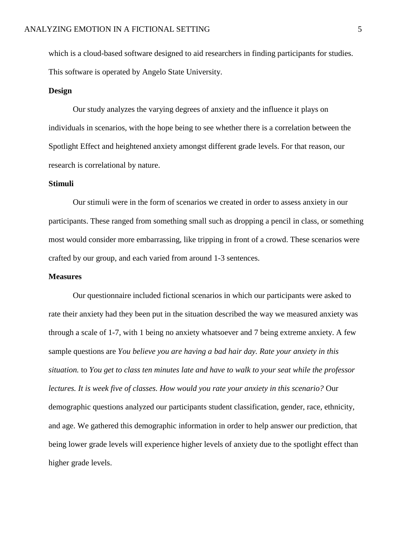which is a cloud-based software designed to aid researchers in finding participants for studies. This software is operated by Angelo State University.

## **Design**

Our study analyzes the varying degrees of anxiety and the influence it plays on individuals in scenarios, with the hope being to see whether there is a correlation between the Spotlight Effect and heightened anxiety amongst different grade levels. For that reason, our research is correlational by nature.

#### **Stimuli**

Our stimuli were in the form of scenarios we created in order to assess anxiety in our participants. These ranged from something small such as dropping a pencil in class, or something most would consider more embarrassing, like tripping in front of a crowd. These scenarios were crafted by our group, and each varied from around 1-3 sentences.

## **Measures**

Our questionnaire included fictional scenarios in which our participants were asked to rate their anxiety had they been put in the situation described the way we measured anxiety was through a scale of 1-7, with 1 being no anxiety whatsoever and 7 being extreme anxiety. A few sample questions are *You believe you are having a bad hair day. Rate your anxiety in this situation.* to *You get to class ten minutes late and have to walk to your seat while the professor lectures. It is week five of classes. How would you rate your anxiety in this scenario?* Our demographic questions analyzed our participants student classification, gender, race, ethnicity, and age. We gathered this demographic information in order to help answer our prediction, that being lower grade levels will experience higher levels of anxiety due to the spotlight effect than higher grade levels.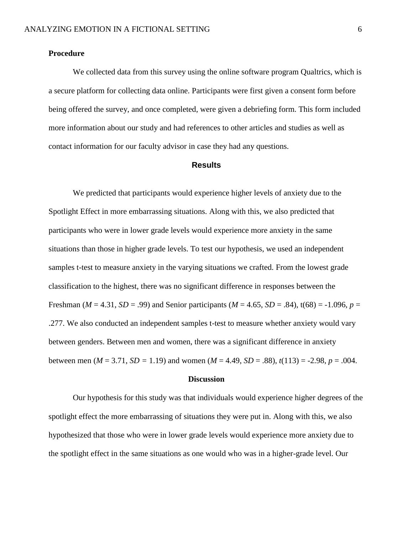# **Procedure**

We collected data from this survey using the online software program Qualtrics, which is a secure platform for collecting data online. Participants were first given a consent form before being offered the survey, and once completed, were given a debriefing form. This form included more information about our study and had references to other articles and studies as well as contact information for our faculty advisor in case they had any questions.

## **Results**

We predicted that participants would experience higher levels of anxiety due to the Spotlight Effect in more embarrassing situations. Along with this, we also predicted that participants who were in lower grade levels would experience more anxiety in the same situations than those in higher grade levels. To test our hypothesis, we used an independent samples t-test to measure anxiety in the varying situations we crafted. From the lowest grade classification to the highest, there was no significant difference in responses between the Freshman ( $M = 4.31$ ,  $SD = .99$ ) and Senior participants ( $M = 4.65$ ,  $SD = .84$ ),  $t(68) = -1.096$ ,  $p =$ .277. We also conducted an independent samples t-test to measure whether anxiety would vary between genders. Between men and women, there was a significant difference in anxiety between men ( $M = 3.71$ ,  $SD = 1.19$ ) and women ( $M = 4.49$ ,  $SD = .88$ ),  $t(113) = -2.98$ ,  $p = .004$ .

## **Discussion**

Our hypothesis for this study was that individuals would experience higher degrees of the spotlight effect the more embarrassing of situations they were put in. Along with this, we also hypothesized that those who were in lower grade levels would experience more anxiety due to the spotlight effect in the same situations as one would who was in a higher-grade level. Our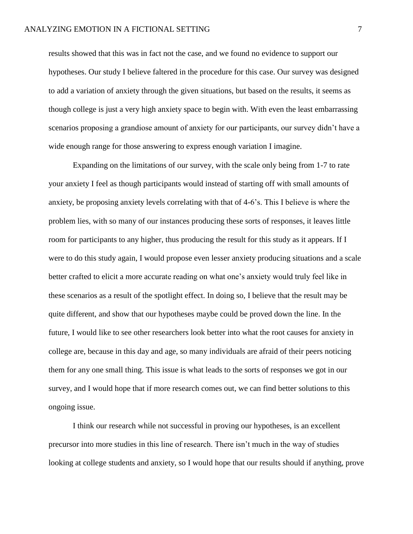results showed that this was in fact not the case, and we found no evidence to support our hypotheses. Our study I believe faltered in the procedure for this case. Our survey was designed to add a variation of anxiety through the given situations, but based on the results, it seems as though college is just a very high anxiety space to begin with. With even the least embarrassing scenarios proposing a grandiose amount of anxiety for our participants, our survey didn't have a wide enough range for those answering to express enough variation I imagine.

Expanding on the limitations of our survey, with the scale only being from 1-7 to rate your anxiety I feel as though participants would instead of starting off with small amounts of anxiety, be proposing anxiety levels correlating with that of 4-6's. This I believe is where the problem lies, with so many of our instances producing these sorts of responses, it leaves little room for participants to any higher, thus producing the result for this study as it appears. If I were to do this study again, I would propose even lesser anxiety producing situations and a scale better crafted to elicit a more accurate reading on what one's anxiety would truly feel like in these scenarios as a result of the spotlight effect. In doing so, I believe that the result may be quite different, and show that our hypotheses maybe could be proved down the line. In the future, I would like to see other researchers look better into what the root causes for anxiety in college are, because in this day and age, so many individuals are afraid of their peers noticing them for any one small thing. This issue is what leads to the sorts of responses we got in our survey, and I would hope that if more research comes out, we can find better solutions to this ongoing issue.

I think our research while not successful in proving our hypotheses, is an excellent precursor into more studies in this line of research. There isn't much in the way of studies looking at college students and anxiety, so I would hope that our results should if anything, prove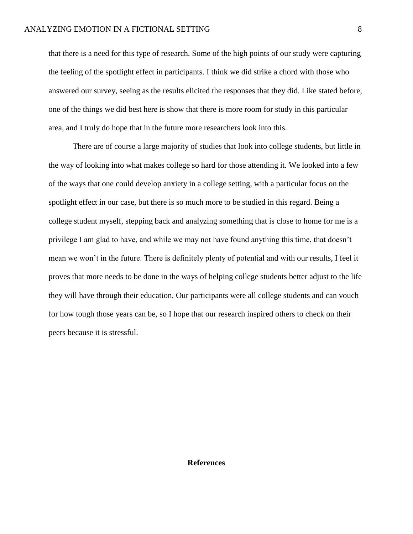that there is a need for this type of research. Some of the high points of our study were capturing the feeling of the spotlight effect in participants. I think we did strike a chord with those who answered our survey, seeing as the results elicited the responses that they did. Like stated before, one of the things we did best here is show that there is more room for study in this particular area, and I truly do hope that in the future more researchers look into this.

There are of course a large majority of studies that look into college students, but little in the way of looking into what makes college so hard for those attending it. We looked into a few of the ways that one could develop anxiety in a college setting, with a particular focus on the spotlight effect in our case, but there is so much more to be studied in this regard. Being a college student myself, stepping back and analyzing something that is close to home for me is a privilege I am glad to have, and while we may not have found anything this time, that doesn't mean we won't in the future. There is definitely plenty of potential and with our results, I feel it proves that more needs to be done in the ways of helping college students better adjust to the life they will have through their education. Our participants were all college students and can vouch for how tough those years can be, so I hope that our research inspired others to check on their peers because it is stressful.

# **References**